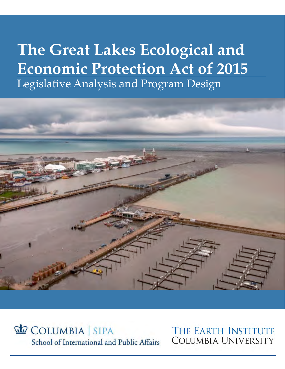# **The Great Lakes Ecological and Economic Protection Act of 2015** Legislative Analysis and Program Design



COLUMBIA SIPA School of International and Public Affairs

THE EARTH INSTITUTE **COLUMBIA UNIVERSITY**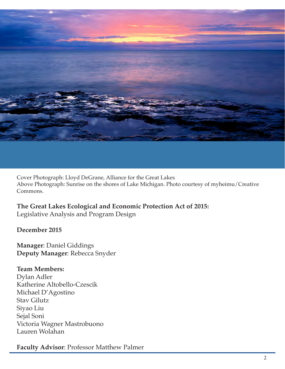

Cover Photograph: Lloyd DeGrane, Alliance for the Great Lakes Above Photograph: Sunrise on the shores of Lake Michigan. Photo courtesy of myheimu/Creative Commons.

**The Great Lakes Ecological and Economic Protection Act of 2015:**

Legislative Analysis and Program Design

# **December 2015**

**Manager**: Daniel Giddings **Deputy Manager**: Rebecca Snyder

**Team Members:** Dylan Adler Katherine Altobello-Czescik Michael D'Agostino Stav Gilutz Siyao Liu Sejal Soni Victoria Wagner Mastrobuono Lauren Wolahan

**Faculty Advisor**: Professor Matthew Palmer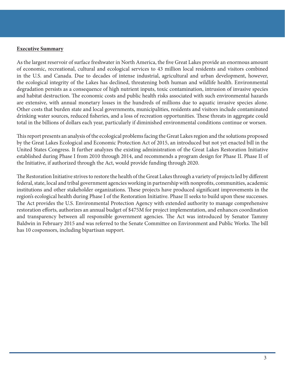#### **Executive Summary**

As the largest reservoir of surface freshwater in North America, the five Great Lakes provide an enormous amount of economic, recreational, cultural and ecological services to 43 million local residents and visitors combined in the U.S. and Canada. Due to decades of intense industrial, agricultural and urban development, however, the ecological integrity of the Lakes has declined, threatening both human and wildlife health. Environmental degradation persists as a consequence of high nutrient inputs, toxic contamination, intrusion of invasive species and habitat destruction. The economic costs and public health risks associated with such environmental hazards are extensive, with annual monetary losses in the hundreds of millions due to aquatic invasive species alone. Other costs that burden state and local governments, municipalities, residents and visitors include contaminated drinking water sources, reduced fisheries, and a loss of recreation opportunities. These threats in aggregate could total in the billions of dollars each year, particularly if diminished environmental conditions continue or worsen.

This report presents an analysis of the ecological problems facing the Great Lakes region and the solutions proposed by the Great Lakes Ecological and Economic Protection Act of 2015, an introduced but not yet enacted bill in the United States Congress. It further analyzes the existing administration of the Great Lakes Restoration Initiative established during Phase I from 2010 through 2014, and recommends a program design for Phase II. Phase II of the Initiative, if authorized through the Act, would provide funding through 2020.

The Restoration Initiative strives to restore the health of the Great Lakes through a variety of projects led by different federal, state, local and tribal government agencies working in partnership with nonprofits, communities, academic institutions and other stakeholder organizations. These projects have produced significant improvements in the region's ecological health during Phase I of the Restoration Initiative. Phase II seeks to build upon these successes. The Act provides the U.S. Environmental Protection Agency with extended authority to manage comprehensive restoration efforts, authorizes an annual budget of \$475M for project implementation, and enhances coordination and transparency between all responsible government agencies. The Act was introduced by Senator Tammy Baldwin in February 2015 and was referred to the Senate Committee on Environment and Public Works. The bill has 10 cosponsors, including bipartisan support.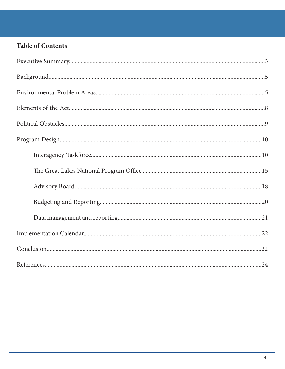# **Table of Contents**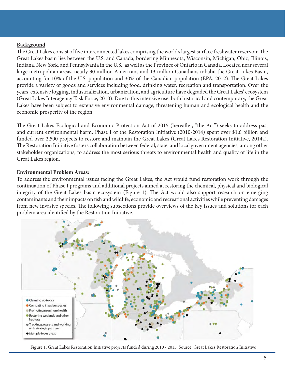### **Background**

The Great Lakes consist of five interconnected lakes comprising the world's largest surface freshwater reservoir. The Great Lakes basin lies between the U.S. and Canada, bordering Minnesota, Wisconsin, Michigan, Ohio, Illinois, Indiana, New York, and Pennsylvania in the U.S., as well as the Province of Ontario in Canada. Located near several large metropolitan areas, nearly 30 million Americans and 13 million Canadians inhabit the Great Lakes Basin, accounting for 10% of the U.S. population and 30% of the Canadian population (EPA, 2012). The Great Lakes provide a variety of goods and services including food, drinking water, recreation and transportation. Over the years, extensive logging, industrialization, urbanization, and agriculture have degraded the Great Lakes' ecosystem (Great Lakes Interagency Task Force, 2010). Due to this intensive use, both historical and contemporary, the Great Lakes have been subject to extensive environmental damage, threatening human and ecological health and the economic prosperity of the region.

The Great Lakes Ecological and Economic Protection Act of 2015 (hereafter, "the Act") seeks to address past and current environmental harm. Phase I of the Restoration Initiative (2010-2014) spent over \$1.6 billion and funded over 2,500 projects to restore and maintain the Great Lakes (Great Lakes Restoration Initiative, 2014a). The Restoration Initiative fosters collaboration between federal, state, and local government agencies, among other stakeholder organizations, to address the most serious threats to environmental health and quality of life in the Great Lakes region.

#### **Environmental Problem Areas:**

To address the environmental issues facing the Great Lakes, the Act would fund restoration work through the continuation of Phase I programs and additional projects aimed at restoring the chemical, physical and biological integrity of the Great Lakes basin ecosystem (Figure 1). The Act would also support research on emerging contaminants and their impacts on fish and wildlife, economic and recreational activities while preventing damages from new invasive species. The following subsections provide overviews of the key issues and solutions for each problem area identified by the Restoration Initiative.



Figure 1. Great Lakes Restoration Initiative projects funded during 2010 - 2013. Source: Great Lakes Restoration Initiative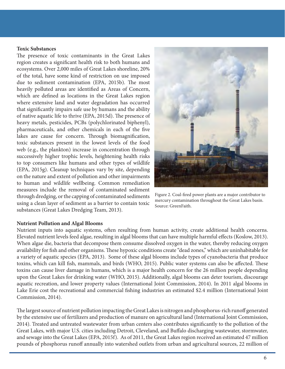#### **Toxic Substances**

The presence of toxic contaminants in the Great Lakes region creates a significant health risk to both humans and ecosystems. Over 2,000 miles of Great Lakes shoreline, 20% of the total, have some kind of restriction on use imposed due to sediment contamination (EPA, 2015b). The most heavily polluted areas are identified as Areas of Concern, which are defined as locations in the Great Lakes region where extensive land and water degradation has occurred that significantly impairs safe use by humans and the ability of native aquatic life to thrive (EPA, 2015d). The presence of heavy metals, pesticides, PCBs (polychlorinated biphenyl), pharmaceuticals, and other chemicals in each of the five lakes are cause for concern. Through biomagnification, toxic substances present in the lowest levels of the food web (e.g., the plankton) increase in concentration through successively higher trophic levels, heightening health risks to top consumers like humans and other types of wildlife (EPA, 2015g). Cleanup techniques vary by site, depending on the nature and extent of pollution and other impairments to human and wildlife wellbeing. Common remediation measures include the removal of contaminated sediment through dredging, or the capping of contaminated sediments using a clean layer of sediment as a barrier to contain toxic substances (Great Lakes Dredging Team, 2013).



Figure 2. Coal-fired power plants are a major contributor to mercury contamination throughout the Great Lakes basin. Source: GreenFaith.

#### **Nutrient Pollution and Algal Blooms**

Nutrient inputs into aquatic systems, often resulting from human activity, create additional health concerns. Elevated nutrient levels feed algae, resulting in algal blooms that can have multiple harmful effects (Koslow, 2013). When algae die, bacteria that decompose them consume dissolved oxygen in the water, thereby reducing oxygen availability for fish and other organisms. These hypoxic conditions create "dead zones," which are uninhabitable for a variety of aquatic species (EPA, 2013). Some of these algal blooms include types of cyanobacteria that produce toxins, which can kill fish, mammals, and birds (WHO, 2015). Public water systems can also be affected. These toxins can cause liver damage in humans, which is a major health concern for the 26 million people depending upon the Great Lakes for drinking water (WHO, 2015). Additionally, algal blooms can deter tourism, discourage aquatic recreation, and lower property values (International Joint Commission, 2014). In 2011 algal blooms in Lake Erie cost the recreational and commercial fishing industries an estimated \$2.4 million (International Joint Commission, 2014).

The largest source of nutrient pollution impacting the Great Lakes is nitrogen and phosphorus-rich runoff generated by the extensive use of fertilizers and production of manure on agricultural land (International Joint Commission, 2014). Treated and untreated wastewater from urban centers also contributes significantly to the pollution of the Great Lakes, with major U.S. cities including Detroit, Cleveland, and Buffalo discharging wastewater, stormwater, and sewage into the Great Lakes (EPA, 2015f). As of 2011, the Great Lakes region received an estimated 47 million pounds of phosphorus runoff annually into watershed outlets from urban and agricultural sources, 22 million of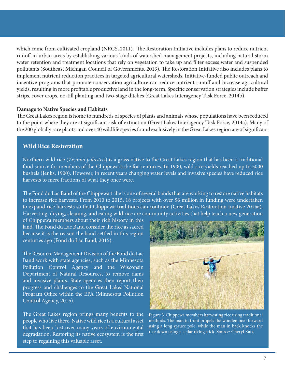which came from cultivated cropland (NRCS, 2011). The Restoration Initiative includes plans to reduce nutrient runoff in urban areas by establishing various kinds of watershed management projects, including natural storm water retention and treatment locations that rely on vegetation to take up and filter excess water and suspended pollutants (Southeast Michigan Council of Governments, 2013). The Restoration Initiative also includes plans to implement nutrient reduction practices in targeted agricultural watersheds. Initiative-funded public outreach and incentive programs that promote conservation agriculture can reduce nutrient runoff and increase agricultural yields, resulting in more profitable productive land in the long-term. Specific conservation strategies include buffer strips, cover crops, no-till planting, and two-stage ditches (Great Lakes Interagency Task Force, 2014b).

#### **Damage to Native Species and Habitats**

The Great Lakes region is home to hundreds of species of plants and animals whose populations have been reduced to the point where they are at significant risk of extinction (Great Lakes Interagency Task Force, 2014a). Many of the 200 globally rare plants and over 40 wildlife species found exclusively in the Great Lakes region are of significant

#### **Wild Rice Restoration**

Northern wild rice (*Zizania palustris*) is a grass native to the Great Lakes region that has been a traditional food source for members of the Chippewa tribe for centuries. In 1900, wild rice yields reached up to 5000 bushels (Jenks, 1900). However, in recent years changing water levels and invasive species have reduced rice harvests to mere fractions of what they once were.

The Fond du Lac Band of the Chippewa tribe is one of several bands that are working to restore native habitats to increase rice harvests. From 2010 to 2015, 18 projects with over \$6 million in funding were undertaken to expand rice harvests so that Chippewa traditions can continue (Great Lakes Restoration Iniative 2015a). Harvesting, drying, cleaning, and eating wild rice are community activities that help teach a new generation

of Chippewa members about their rich history in this land. The Fond du Lac Band consider the rice as sacred because it is the reason the band settled in this region centuries ago (Fond du Lac Band, 2015).

The Resource Management Division of the Fond du Lac Band work with state agencies, such as the Minnesota Pollution Control Agency and the Wisconsin Department of Natural Resources, to remove dams and invasive plants. State agencies then report their progress and challenges to the Great Lakes National Program Office within the EPA (Minnesota Pollution Control Agency, 2015).

The Great Lakes region brings many benefits to the people who live there. Native wild rice is a cultural asset that has been lost over many years of environmental degradation. Restoring its native ecosystem is the first step to regaining this valuable asset.



Figure 3 Chippewa members harvesting rice using traditional methods. The man in front propels the wooden boat forward using a long spruce pole, while the man in back knocks the rice down using a cedar ricing stick. Source: Cheryl Katz.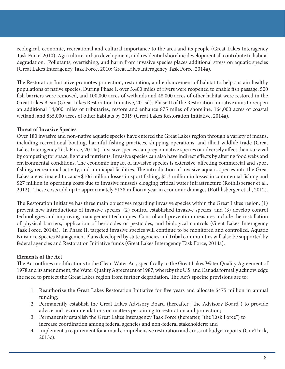ecological, economic, recreational and cultural importance to the area and its people (Great Lakes Interagency Task Force, 2010). Agriculture, urban development, and residential shoreline development all contribute to habitat degradation. Pollutants, overfishing, and harm from invasive species places additional stress on aquatic species (Great Lakes Interagency Task Force, 2010; Great Lakes Interagency Task Force, 2014a).

The Restoration Initiative promotes protection, restoration, and enhancement of habitat to help sustain healthy populations of native species. During Phase I, over 3,400 miles of rivers were reopened to enable fish passage, 500 fish barriers were removed, and 100,000 acres of wetlands and 48,000 acres of other habitat were restored in the Great Lakes Basin (Great Lakes Restoration Initiative, 2015d). Phase II of the Restoration Initiative aims to reopen an additional 14,000 miles of tributaries, restore and enhance 875 miles of shoreline, 164,000 acres of coastal wetland, and 835,000 acres of other habitats by 2019 (Great Lakes Restoration Initiative, 2014a).

# **Threat of Invasive Species**

Over 180 invasive and non-native aquatic species have entered the Great Lakes region through a variety of means, including recreational boating, harmful fishing practices, shipping operations, and illicit wildlife trade (Great Lakes Interagency Task Force, 2014a). Invasive species can prey on native species or adversely affect their survival by competing for space, light and nutrients. Invasive species can also have indirect effects by altering food webs and environmental conditions. The economic impact of invasive species is extensive, affecting commercial and sport fishing, recreational activity, and municipal facilities. The introduction of invasive aquatic species into the Great Lakes are estimated to cause \$106 million losses in sport fishing, \$5.3 million in losses in commercial fishing and \$27 million in operating costs due to invasive mussels clogging critical water infrastructure (Rothlisberger et al., 2012). These costs add up to approximately \$138 million a year in economic damages (Rothlisberger et al., 2012).

The Restoration Initiative has three main objectives regarding invasive species within the Great Lakes region: (1) prevent new introductions of invasive species, (2) control established invasive species, and (3) develop control technologies and improving management techniques. Control and prevention measures include the installation of physical barriers, application of herbicides or pesticides, and biological controls (Great Lakes Interagency Task Force, 2014a). In Phase II, targeted invasive species will continue to be monitored and controlled. Aquatic Nuisance Species Management Plans developed by state agencies and tribal communities will also be supported by federal agencies and Restoration Initiative funds (Great Lakes Interagency Task Force, 2014a).

# **Elements of the Act**

The Act outlines modifications to the Clean Water Act, specifically to the Great Lakes Water Quality Agreement of 1978 and its amendment, the Water Quality Agreement of 1987, whereby the U.S. and Canada formally acknowledge the need to protect the Great Lakes region from further degradation. The Act's specific provisions are to:

- 1. Reauthorize the Great Lakes Restoration Initiative for five years and allocate \$475 million in annual funding;
- 2. Permanently establish the Great Lakes Advisory Board (hereafter, "the Advisory Board") to provide advice and recommendations on matters pertaining to restoration and protection;
- 3. Permanently establish the Great Lakes Interagency Task Force (hereafter, "the Task Force") to increase coordination among federal agencies and non-federal stakeholders; and
- 4. Implement a requirement for annual comprehensive restoration and crosscut budget reports (GovTrack, 2015c).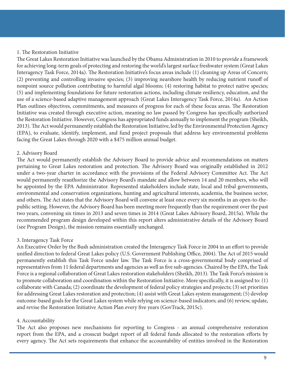#### 1. The Restoration Initiative

The Great Lakes Restoration Initiative was launched by the Obama Administration in 2010 to provide a framework for achieving long-term goals of protecting and restoring the world's largest surface freshwater system (Great Lakes Interagency Task Force, 2014a). The Restoration Initiative's focus areas include (1) cleaning up Areas of Concern; (2) preventing and controlling invasive species; (3) improving nearshore health by reducing nutrient runoff of nonpoint source pollution contributing to harmful algal blooms; (4) restoring habitat to protect native species; (5) and implementing foundations for future restoration actions, including climate resiliency, education, and the use of a science-based adaptive management approach (Great Lakes Interagency Task Force, 2014a). An Action Plan outlines objectives, commitments, and measures of progress for each of these focus areas. The Restoration Initiative was created through executive action, meaning no law passed by Congress has specifically authorized the Restoration Initiative. However, Congress has appropriated funds annually to implement the program (Sheikh, 2013). The Act would permanently establish the Restoration Initiative, led by the Environmental Protection Agency (EPA), to evaluate, identify, implement, and fund project proposals that address key environmental problems facing the Great Lakes through 2020 with a \$475 million annual budget.

# 2. Advisory Board

The Act would permanently establish the Advisory Board to provide advice and recommendations on matters pertaining to Great Lakes restoration and protection. The Advisory Board was originally established in 2012 under a two-year charter in accordance with the provisions of the Federal Advisory Committee Act. The Act would permanently reauthorize the Advisory Board's mandate and allow between 14 and 20 members, who will be appointed by the EPA Administrator. Represented stakeholders include state, local and tribal governments, environmental and conservation organizations, hunting and agricultural interests, academia, the business sector, and others. The Act states that the Advisory Board will convene at least once every six months in an open-to-thepublic setting. However, the Advisory Board has been meeting more frequently than the requirement over the past two years, convening six times in 2013 and seven times in 2014 (Great Lakes Advisory Board, 2015a). While the recommended program design developed within this report alters administrative details of the Advisory Board (see Program Design), the mission remains essentially unchanged.

#### 3. Interagency Task Force

An Executive Order by the Bush administration created the Interagency Task Force in 2004 in an effort to provide unified direction to federal Great Lakes policy (U.S. Government Publishing Office, 2004). The Act of 2015 would permanently establish this Task Force under law. The Task Force is a cross-governmental body comprised of representatives from 11 federal departments and agencies as well as five sub-agencies. Chaired by the EPA, the Task Force is a regional collaboration of Great Lakes restoration stakeholders (Sheikh, 2013). The Task Force's mission is to promote collaboration and coordination within the Restoration Initiative. More specifically, it is assigned to: (1) collaborate with Canada; (2) coordinate the development of federal policy strategies and projects; (3) set priorities for addressing Great Lakes restoration and protection; (4) assist with Great Lakes system management; (5) develop outcome-based goals for the Great Lakes system while relying on science-based indicators; and (6) review, update, and revise the Restoration Initiative Action Plan every five years (GovTrack, 2015c).

# 4. Accountability

The Act also proposes new mechanisms for reporting to Congress - an annual comprehensive restoration report from the EPA, and a crosscut budget report of all federal funds allocated to the restoration efforts by every agency. The Act sets requirements that enhance the accountability of entities involved in the Restoration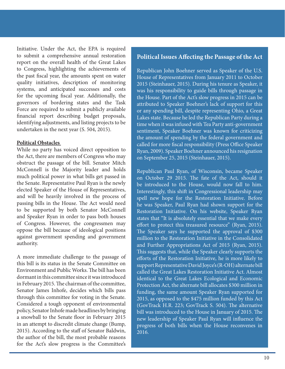Initiative. Under the Act, the EPA is required to submit a comprehensive annual restoration report on the overall health of the Great Lakes to Congress, highlighting the achievements of the past fiscal year, the amounts spent on water quality initiatives, description of monitoring systems, and anticipated successes and costs for the upcoming fiscal year. Additionally, the governors of bordering states and the Task Force are required to submit a publicly available financial report describing budget proposals, identifying adjustments, and listing projects to be undertaken in the next year (S. 504, 2015).

#### **Political Obstacles**

While no party has voiced direct opposition to the Act, there are members of Congress who may obstruct the passage of the bill. Senator Mitch McConnell is the Majority leader and holds much political power in what bills get passed in the Senate. Representative Paul Ryan is the newly elected Speaker of the House of Representatives, and will be heavily involved in the process of passing bills in the House. The Act would need to be supported by both Senator McConnell and Speaker Ryan in order to pass both houses of Congress. However, the congressmen may oppose the bill because of ideological positions against government spending and government authority.

A more immediate challenge to the passage of this bill is its status in the Senate Committee on Environment and Public Works. The bill has been dormant in this committee since it was introduced in February 2015. The chairman of the committee, Senator James Inhofe, decides which bills pass through this committee for voting in the Senate. Considered a tough opponent of environmental policy, Senator Inhofe made headlines by bringing a snowball to the Senate floor in February 2015 in an attempt to discredit climate change (Bump, 2015). According to the staff of Senator Baldwin, the author of the bill, the most probable reasons for the Act's slow progress is the Committee's

### **Political Issues Affecting the Passage of the Act**

Republican John Boehner served as Speaker of the U.S. House of Representatives from January 2011 to October 2015 (Steinhauer, 2015). During his tenure as Speaker, it was his responsibility to guide bills through passage in the House. Part of the Act's slow progress in 2015 can be attributed to Speaker Boehner's lack of support for this or any spending bill, despite representing Ohio, a Great Lakes state. Because he led the Republican Party during a time when it was infused with Tea Party anti-government sentiment, Speaker Boehner was known for criticizing the amount of spending by the federal government and called for more fiscal responsibility (Press Office Speaker Ryan, 2009). Speaker Boehner announced his resignation on September 25, 2015 (Steinhauer, 2015).

Republican Paul Ryan, of Wisconsin, became Speaker on October 29 2015. The fate of the Act, should it be introduced to the House, would now fall to him. Interestingly, this shift in Congressional leadership may spell new hope for the Restoration Initiative. Before he was Speaker, Paul Ryan had shown support for the Restoration Initiative. On his website, Speaker Ryan states that "It is absolutely essential that we make every effort to protect this treasured resource" (Ryan, 2015). The Speaker says he supported the approval of \$300 million to the Restoration Initiative in the Consolidated and Further Appropriations Act of 2015 (Ryan, 2015). This suggests that, while the Speaker clearly supports the efforts of the Restoration Initiative, he is more likely to support Representative David Joyce's (R-OH) alternate bill called the Great Lakes Restoration Initiative Act. Almost identical to the Great Lakes Ecological and Economic Protection Act, the alternate bill allocates \$300 million in funding, the same amount Speaker Ryan supported for 2015, as opposed to the \$475 million funded by this Act (GovTrack H.R. 223; GovTrack S. 504). The alternative bill was introduced to the House in January of 2015. The new leadership of Speaker Paul Ryan will influence the progress of both bills when the House reconvenes in 2016.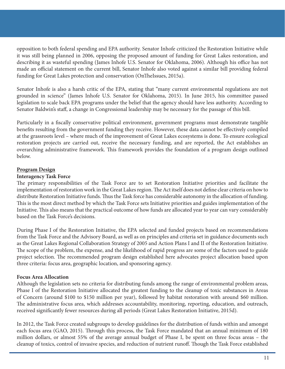opposition to both federal spending and EPA authority. Senator Inhofe criticized the Restoration Initiative while it was still being planned in 2006, opposing the proposed amount of funding for Great Lakes restoration, and describing it as wasteful spending (James Inhofe U.S. Senator for Oklahoma, 2006). Although his office has not made an official statement on the current bill, Senator Inhofe also voted against a similar bill providing federal funding for Great Lakes protection and conservation (OnTheIssues, 2015a).

Senator Inhofe is also a harsh critic of the EPA, stating that "many current environmental regulations are not grounded in science" (James Inhofe U.S. Senator for Oklahoma, 2015). In June 2015, his committee passed legislation to scale back EPA programs under the belief that the agency should have less authority. According to Senator Baldwin's staff, a change in Congressional leadership may be necessary for the passage of this bill.

Particularly in a fiscally conservative political environment, government programs must demonstrate tangible benefits resulting from the government funding they receive. However, these data cannot be effectively compiled at the grassroots level – where much of the improvement of Great Lakes ecosystems is done. To ensure ecological restoration projects are carried out, receive the necessary funding, and are reported, the Act establishes an overarching administrative framework. This framework provides the foundation of a program design outlined below.

# **Program Design**

# **Interagency Task Force**

The primary responsibilities of the Task Force are to set Restoration Initiative priorities and facilitate the implementation of restoration work in the Great Lakes region. The Act itself does not define clear criteria on how to distribute Restoration Initiative funds. Thus the Task force has considerable autonomy in the allocation of funding. This is the most direct method by which the Task Force sets Initiative priorities and guides implementation of the Initiative. This also means that the practical outcome of how funds are allocated year to year can vary considerably based on the Task Force's decisions.

During Phase I of the Restoration Initiative, the EPA selected and funded projects based on recommendations from the Task Force and the Advisory Board, as well as on principles and criteria set in guidance documents such as the Great Lakes Regional Collaboration Strategy of 2005 and Action Plans I and II of the Restoration Initiative. The scope of the problem, the expense, and the likelihood of rapid progress are some of the factors used to guide project selection. The recommended program design established here advocates project allocation based upon three criteria: focus area, geographic location, and sponsoring agency.

# **Focus Area Allocation**

Although the legislation sets no criteria for distributing funds among the range of environmental problem areas, Phase I of the Restoration Initiative allocated the greatest funding to the cleanup of toxic substances in Areas of Concern (around \$100 to \$150 million per year), followed by habitat restoration with around \$60 million. The administrative focus area, which addresses accountability, monitoring, reporting, education, and outreach, received significantly fewer resources during all periods (Great Lakes Restoration Initiative, 2015d).

In 2012, the Task Force created subgroups to develop guidelines for the distribution of funds within and amongst each focus area (GAO, 2015). Through this process, the Task Force mandated that an annual minimum of 180 million dollars, or almost 55% of the average annual budget of Phase I, be spent on three focus areas – the cleanup of toxics, control of invasive species, and reduction of nutrient runoff. Though the Task Force established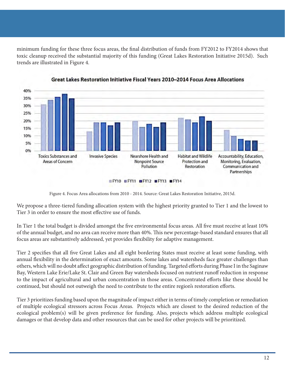minimum funding for these three focus areas, the final distribution of funds from FY2012 to FY2014 shows that toxic cleanup received the substantial majority of this funding (Great Lakes Restoration Initiative 2015d). Such trends are illustrated in Figure 4.



Great Lakes Restoration Initiative Fiscal Years 2010-2014 Focus Area Allocations

Figure 4. Focus Area allocations from 2010 - 2014. Source: Great Lakes Restoration Initiative, 2015d.

We propose a three-tiered funding allocation system with the highest priority granted to Tier 1 and the lowest to Tier 3 in order to ensure the most effective use of funds.

In Tier 1 the total budget is divided amongst the five environmental focus areas. All five must receive at least 10% of the annual budget, and no area can receive more than 40%. This new percentage-based standard ensures that all focus areas are substantively addressed, yet provides flexibility for adaptive management.

Tier 2 specifies that all five Great Lakes and all eight bordering States must receive at least some funding, with annual flexibility in the determination of exact amounts. Some lakes and watersheds face greater challenges than others, which will no doubt affect geographic distribution of funding. Targeted efforts during Phase I in the Saginaw Bay, Western Lake Erie/Lake St. Clair and Green Bay watersheds focused on nutrient runoff reduction in response to the impact of agricultural and urban concentration in those areas. Concentrated efforts like these should be continued, but should not outweigh the need to contribute to the entire region's restoration efforts.

Tier 3 prioritizes funding based upon the magnitude of impact either in terms of timely completion or remediation of multiple ecological stressors across Focus Areas. Projects which are closest to the desired reduction of the ecological problem(s) will be given preference for funding. Also, projects which address multiple ecological damages or that develop data and other resources that can be used for other projects will be prioritized.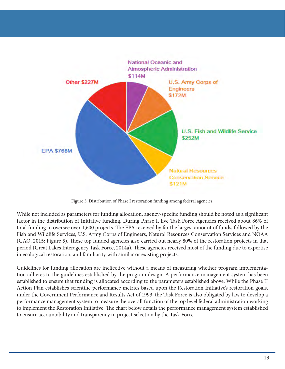

Figure 5: Distribution of Phase I restoration funding among federal agencies.

While not included as parameters for funding allocation, agency-specific funding should be noted as a significant factor in the distribution of Initiative funding. During Phase I, five Task Force Agencies received about 86% of total funding to oversee over 1,600 projects. The EPA received by far the largest amount of funds, followed by the Fish and Wildlife Services, U.S. Army Corps of Engineers, Natural Resources Conservation Services and NOAA (GAO, 2015; Figure 5). These top funded agencies also carried out nearly 80% of the restoration projects in that period (Great Lakes Interagency Task Force, 2014a). These agencies received most of the funding due to expertise in ecological restoration, and familiarity with similar or existing projects.

Guidelines for funding allocation are ineffective without a means of measuring whether program implementation adheres to the guidelines established by the program design. A performance management system has been established to ensure that funding is allocated according to the parameters established above. While the Phase II Action Plan establishes scientific performance metrics based upon the Restoration Initiative's restoration goals, under the Government Performance and Results Act of 1993, the Task Force is also obligated by law to develop a performance management system to measure the overall function of the top level federal administration working to implement the Restoration Initiative. The chart below details the performance management system established to ensure accountability and transparency in project selection by the Task Force.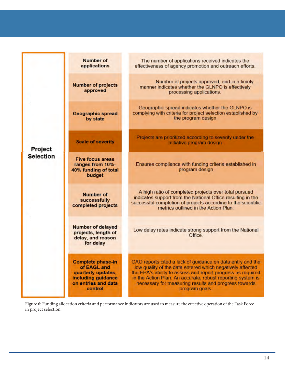| Project<br><b>Selection</b> | <b>Number of</b><br>applications                                                                               | The number of applications received indicates the<br>effectiveness of agency promotion and outreach efforts.                                                                                                                                                                                                                    |
|-----------------------------|----------------------------------------------------------------------------------------------------------------|---------------------------------------------------------------------------------------------------------------------------------------------------------------------------------------------------------------------------------------------------------------------------------------------------------------------------------|
|                             | <b>Number of projects</b><br>approved                                                                          | Number of projects approved, and in a timely<br>manner indicates whether the GLNPO is effectively<br>processing applications.                                                                                                                                                                                                   |
|                             | <b>Geographic spread</b><br>by state                                                                           | Geographic spread indicates whether the GLNPO is<br>complying with criteria for project selection established by<br>the program design                                                                                                                                                                                          |
|                             | <b>Scale of severity</b>                                                                                       | Projects are prioritized according to severity under the<br>Initiative program design                                                                                                                                                                                                                                           |
|                             | <b>Five focus areas</b><br>ranges from 10%-<br>40% funding of total<br>budget                                  | Ensures compliance with funding criteria established in<br>program design                                                                                                                                                                                                                                                       |
|                             | <b>Number of</b><br>successfully<br>completed projects                                                         | A high ratio of completed projects over total pursued<br>indicates support from the National Office resulting in the<br>successful completion of projects according to the scientific<br>metrics outlined in the Action Plan.                                                                                                   |
|                             | <b>Number of delayed</b><br>projects, length of<br>delay, and reason<br>for delay                              | Low delay rates indicate strong support from the National<br>Office.                                                                                                                                                                                                                                                            |
|                             | Complete phase-in<br>of EAGL and<br>quarterly updates,<br>including guidance<br>on entries and data<br>control | GAO reports cited a lack of guidance on data entry and the<br>low quality of the data entered which negatively affected<br>the EPA's ability to assess and report progress as required<br>in the Action Plan. An accurate, robust reporting system is<br>necessary for measuring results and progress towards<br>program goals. |

Figure 6: Funding allocation criteria and performance indicators are used to measure the effective operation of the Task Force in project selection.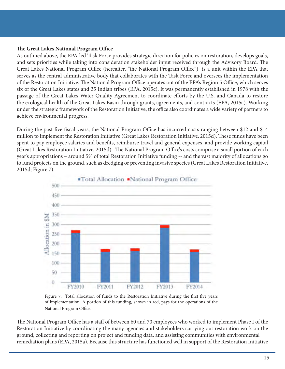#### **The Great Lakes National Program Office**

As outlined above, the EPA-led Task Force provides strategic direction for policies on restoration, develops goals, and sets priorities while taking into consideration stakeholder input received through the Advisory Board. The Great Lakes National Program Office (hereafter, "the National Program Office") is a unit within the EPA that serves as the central administrative body that collaborates with the Task Force and oversees the implementation of the Restoration Initiative. The National Program Office operates out of the EPA's Region 5 Office, which serves six of the Great Lakes states and 35 Indian tribes (EPA, 2015c). It was permanently established in 1978 with the passage of the Great Lakes Water Quality Agreement to coordinate efforts by the U.S. and Canada to restore the ecological health of the Great Lakes Basin through grants, agreements, and contracts (EPA, 2015a). Working under the strategic framework of the Restoration Initiative, the office also coordinates a wide variety of partners to achieve environmental progress.

During the past five fiscal years, the National Program Office has incurred costs ranging between \$12 and \$14 million to implement the Restoration Initiative (Great Lakes Restoration Initiative, 2015d). These funds have been spent to pay employee salaries and benefits, reimburse travel and general expenses, and provide working capital (Great Lakes Restoration Initiative, 2015d). The National Program Office's costs comprise a small portion of each year's appropriations – around 5% of total Restoration Initiative funding -- and the vast majority of allocations go to fund projects on the ground, such as dredging or preventing invasive species (Great Lakes Restoration Initiative, 2015d; Figure 7).



Figure 7: Total allocation of funds to the Restoration Initiative during the first five years of implementation. A portion of this funding, shown in red, pays for the operations of the National Program Office.

The National Program Office has a staff of between 60 and 70 employees who worked to implement Phase I of the Restoration Initiative by coordinating the many agencies and stakeholders carrying out restoration work on the ground, collecting and reporting on project and funding data, and assisting communities with environmental remediation plans (EPA, 2015a). Because this structure has functioned well in support of the Restoration Initiative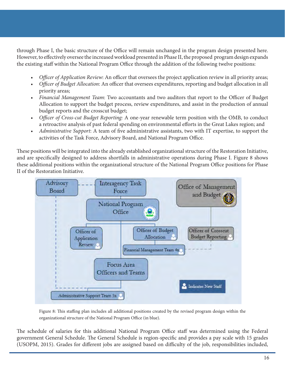through Phase I, the basic structure of the Office will remain unchanged in the program design presented here. However, to effectively oversee the increased workload presented in Phase II, the proposed program design expands the existing staff within the National Program Office through the addition of the following twelve positions:

- *Officer of Application Review: An officer that oversees the project application review in all priority areas;*
- *• Officer of Budget Allocation*: An officer that oversees expenditures, reporting and budget allocation in all priority areas;
- *• Financial Management Team*: Two accountants and two auditors that report to the Officer of Budget Allocation to support the budget process, review expenditures, and assist in the production of annual budget reports and the crosscut budget;
- *• Officer of Cross-cut Budget Reporting:* A one-year renewable term position with the OMB, to conduct a retroactive analysis of past federal spending on environmental efforts in the Great Lakes region; and
- *• Administrative Support*: A team of five administrative assistants, two with IT expertise, to support the activities of the Task Force, Advisory Board, and National Program Office.

These positions will be integrated into the already established organizational structure of the Restoration Initiative, and are specifically designed to address shortfalls in administrative operations during Phase I. Figure 8 shows these additional positions within the organizational structure of the National Program Office positions for Phase II of the Restoration Initiative.



Figure 8: This staffing plan includes all additional positions created by the revised program design within the organizational structure of the National Program Office (in blue).

The schedule of salaries for this additional National Program Office staff was determined using the Federal government General Schedule. The General Schedule is region-specific and provides a pay scale with 15 grades (USOPM, 2015). Grades for different jobs are assigned based on difficulty of the job, responsibilities included,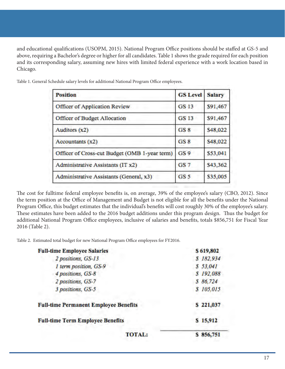and educational qualifications (USOPM, 2015). National Program Office positions should be staffed at GS-5 and above, requiring a Bachelor's degree or higher for all candidates. Table 1 shows the grade required for each position and its corresponding salary, assuming new hires with limited federal experience with a work location based in Chicago.

| <b>Position</b>                               | <b>GS Level</b> | <b>Salary</b> |
|-----------------------------------------------|-----------------|---------------|
| Officer of Application Review                 | <b>GS 13</b>    | \$91,467      |
| Officer of Budget Allocation                  | <b>GS 13</b>    | \$91,467      |
| Auditors (x2)                                 | GS <sub>8</sub> | S48,022       |
| Accountants (x2)                              | GS <sub>8</sub> | \$48,022      |
| Officer of Cross-cut Budget (OMB 1-year term) | GS <sub>9</sub> | \$53,041      |
| Administrative Assistants (IT x2)             | GS <sub>7</sub> | \$43,362      |
| Administrative Assistants (General, x3)       | GS <sub>5</sub> | \$35,005      |

Table 1. General Schedule salary levels for additional National Program Office employees.

The cost for fulltime federal employee benefits is, on average, 39% of the employee's salary (CBO, 2012). Since the term position at the Office of Management and Budget is not eligible for all the benefits under the National Program Office, this budget estimates that the individual's benefits will cost roughly 30% of the employee's salary. These estimates have been added to the 2016 budget additions under this program design. Thus the budget for additional National Program Office employees, inclusive of salaries and benefits, totals \$856,751 for Fiscal Year 2016 (Table 2).

Table 2. Estimated total budget for new National Program Office employees for FY2016.

| <b>Full-time Employee Salaries</b>           | \$619,802 |
|----------------------------------------------|-----------|
| 2 positions, GS-13                           | \$182,934 |
| 1 term position, GS-9                        | \$53,041  |
| 4 positions, GS-8                            | \$192,088 |
| 2 positions, GS-7                            | \$ 86,724 |
| 3 positions, GS-5                            | \$105,015 |
| <b>Full-time Permanent Employee Benefits</b> | \$221,037 |
| <b>Full-time Term Employee Benefits</b>      | \$15,912  |
| TOTAL:                                       | \$856,751 |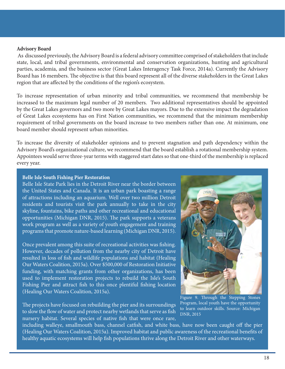#### **Advisory Board**

 As discussed previously, the Advisory Board is a federal advisory committee comprised of stakeholders that include state, local, and tribal governments, environmental and conservation organizations, hunting and agricultural parties, academia, and the business sector (Great Lakes Interagency Task Force, 2014a). Currently the Advisory Board has 16 members. The objective is that this board represent all of the diverse stakeholders in the Great Lakes region that are affected by the conditions of the region's ecosystem.

To increase representation of urban minority and tribal communities, we recommend that membership be increased to the maximum legal number of 20 members. Two additional representatives should be appointed by the Great Lakes governors and two more by Great Lakes mayors. Due to the extensive impact the degradation of Great Lakes ecosystems has on First Nation communities, we recommend that the minimum membership requirement of tribal governments on the board increase to two members rather than one. At minimum, one board member should represent urban minorities.

To increase the diversity of stakeholder opinions and to prevent stagnation and path dependency within the Advisory Board's organizational culture, we recommend that the board establish a rotational membership system. Appointees would serve three-year terms with staggered start dates so that one-third of the membership is replaced every year.

#### **Belle Isle South Fishing Pier Restoration**

Belle Isle State Park lies in the Detroit River near the border between the United States and Canada. It is an urban park boasting a range of attractions including an aquarium. Well over two million Detroit residents and tourists visit the park annually to take in the city skyline, fountains, bike paths and other recreational and educational opportunities (Michigan DNR, 2015). The park supports a veterans work program as well as a variety of youth engagement and training programs that promote nature-based learning (Michigan DNR, 2015).

Once prevalent among this suite of recreational activities was fishing. However, decades of pollution from the nearby city of Detroit have resulted in loss of fish and wildlife populations and habitat (Healing Our Waters Coalition, 2015a). Over \$500,000 of Restoration Initiative funding, with matching grants from other organizations, has been used to implement restoration projects to rebuild the Isle's South Fishing Pier and attract fish to this once plentiful fishing location (Healing Our Waters Coalition, 2015a).

The projects have focused on rebuilding the pier and its surroundings to slow the flow of water and protect nearby wetlands that serve as fish nursery habitat. Several species of native fish that were once rare,



Figure 9. Through the Stepping Stones Program, local youth have the opportunity to learn outdoor skills. Source: Michigan DNR, 2015

including walleye, smallmouth bass, channel catfish, and white bass, have now been caught off the pier (Healing Our Waters Coalition, 2015a). Improved habitat and public awareness of the recreational benefits of healthy aquatic ecosystems will help fish populations thrive along the Detroit River and other waterways.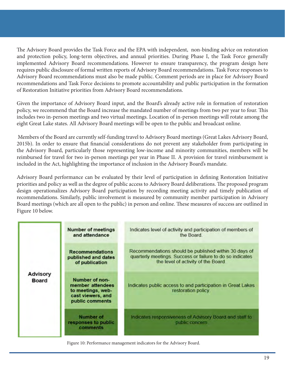The Advisory Board provides the Task Force and the EPA with independent, non-binding advice on restoration and protection policy, long-term objectives, and annual priorities. During Phase I, the Task Force generally implemented Advisory Board recommendations. However to ensure transparency, the program design here requires public disclosure of formal written reports of Advisory Board recommendations. Task Force responses to Advisory Board recommendations must also be made public. Comment periods are in place for Advisory Board recommendations and Task Force decisions to promote accountability and public participation in the formation of Restoration Initiative priorities from Advisory Board recommendations.

Given the importance of Advisory Board input, and the Board's already active role in formation of restoration policy, we recommend that the Board increase the mandated number of meetings from two per year to four. This includes two in-person meetings and two virtual meetings. Location of in-person meetings will rotate among the eight Great Lake states. All Advisory Board meetings will be open to the public and broadcast online.

 Members of the Board are currently self-funding travel to Advisory Board meetings (Great Lakes Advisory Board, 2015b). In order to ensure that financial considerations do not prevent any stakeholder from participating in the Advisory Board, particularly those representing low-income and minority communities, members will be reimbursed for travel for two in-person meetings per year in Phase II. A provision for travel reimbursement is included in the Act, highlighting the importance of inclusion in the Advisory Board's mandate.

Advisory Board performance can be evaluated by their level of participation in defining Restoration Initiative priorities and policy as well as the degree of public access to Advisory Board deliberations. The proposed program design operationalizes Advisory Board participation by recording meeting activity and timely publication of recommendations. Similarly, public involvement is measured by community member participation in Advisory Board meetings (which are all open to the public) in person and online. These measures of success are outlined in Figure 10 below.

| <b>Advisory</b><br>Board | <b>Number of meetings</b><br>and attendance                                                     | Indicates level of activity and participation of members of<br>the Board.                                                                                 |
|--------------------------|-------------------------------------------------------------------------------------------------|-----------------------------------------------------------------------------------------------------------------------------------------------------------|
|                          | <b>Recommendations</b><br>published and dates<br>of publication                                 | Recommendations should be published within 30 days of<br>quarterly meetings. Success or failure to do so indicates<br>the level of activity of the Board. |
|                          | Number of non-<br>member attendees<br>to meetings, web-<br>cast viewers, and<br>public comments | Indicates public access to and participation in Great Lakes<br>restoration policy.                                                                        |
|                          | <b>Number of</b><br>responses to public<br>comments                                             | Indicates responsiveness of Advisory Board and staff to<br>public concern.                                                                                |

Figure 10: Performance management indicators for the Advisory Board.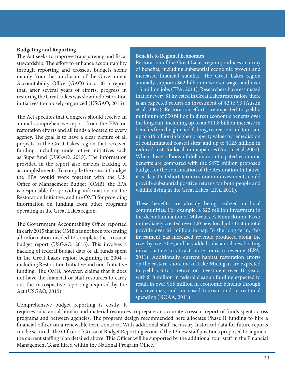#### **Budgeting and Reporting**

The Act seeks to improve transparency and fiscal stewardship. The effort to enhance accountability through reporting and crosscut budgets stems mainly from the conclusion of the Government Accountability Office (GAO) in a 2015 report that, after several years of efforts, progress in restoring the Great Lakes was slow and restoration initiatives too loosely organized (USGAO, 2015).

The Act specifies that Congress should receive an annual comprehensive report from the EPA on restoration efforts and all funds allocated to every agency. The goal is to have a clear picture of all projects in the Great Lakes region that received funding, including under other initiatives such as Superfund (USGAO, 2015). The information provided in the report also enables tracking of accomplishments. To compile the crosscut budget the EPA would work together with the U.S. Office of Management Budget (OMB): the EPA is responsible for providing information on the Restoration Initiative, and the OMB for providing information on funding from other programs operating in the Great Lakes region.

The Government Accountability Office reported in early 2015 that the OMB has not been presenting all information needed to complete the crosscut budget report (USGAO, 2015). This involves a backlog of federal budget data of all funds spent in the Great Lakes region beginning in 2004 – including Restoration Initiative and non-Initiative funding. The OMB, however, claims that it does not have the financial or staff resources to carry out the retrospective reporting required by the Act (USGAO, 2015).

Comprehensive budget reporting is costly. It

#### **Benefits to Regional Economies**

Restoration of the Great Lakes region produces an array of benefits, including substantial economic growth and increased financial stability. The Great Lakes region annually supports \$62 billion in worker wages and over 1.5 million jobs (EPA, 2011). Researchers have estimated that for every \$1 invested in Great Lakes restoration, there is an expected return on investment of \$2 to \$3 (Austin et al, 2007). Restoration efforts are expected to yield a minimum of \$50 billion in direct economic benefits over the long run, including up to an \$11.8 billion increase in benefits from heightened fishing, recreation and tourism; up to \$19 billion in higher property values by remediation of contaminated coastal sites; and up to \$125 million in reduced costs for local municipalities (Austin et al, 2007). When these billions of dollars in anticipated economic benefits are compared with the \$475 million proposed budget for the continuation of the Restoration Initiative, it is clear that short-term restoration investments could provide substantial positive returns for both people and wildlife living in the Great Lakes (EPA, 2011).

These benefits are already being realized in local communities. For example, a \$22 million investment in the decontamination of Milwaukee's Kinnickinnic River immediately created over 100 new local jobs that in total provide over \$1 million in pay. In the long term, this investment has increased revenue produced along the river by over 30%, and has added substantial new boating infrastructure to attract more tourism revenue (EPA, 2011). Additionally, current habitat restoration efforts on the eastern shoreline of Lake Michigan are expected to yield a 6-to-1 return on investment over 10 years, with \$10 million in federal cleanup funding expected to result in over \$65 million in economic benefits through tax revenues, and increased tourism and recreational spending (NOAA, 2011).

requires substantial human and material resources to prepare an accurate crosscut report of funds spent across programs and between agencies. The program design recommended here allocates Phase II funding to hire a financial officer on a renewable term contract. With additional staff, necessary historical data for future reports can be secured. The Officer of Crosscut Budget Reporting is one of the 12 new staff positions proposed to augment the current staffing plan detailed above. This Officer will be supported by the additional four staff in the Financial Management Team hired within the National Program Office.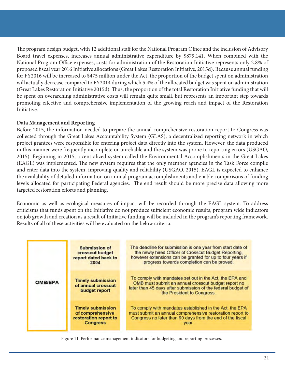The program design budget, with 12 additional staff for the National Program Office and the inclusion of Advisory Board travel expenses, increases annual administrative expenditure by \$879,141. When combined with the National Program Office expenses, costs for administration of the Restoration Initiative represents only 2.8% of proposed fiscal year 2016 Initiative allocations (Great Lakes Restoration Initiative, 2015d). Because annual funding for FY2016 will be increased to \$475 million under the Act, the proportion of the budget spent on administration will actually decrease compared to FY2014 during which 5.4% of the allocated budget was spent on administration (Great Lakes Restoration Initiative 2015d). Thus, the proportion of the total Restoration Initiative funding that will be spent on overarching administrative costs will remain quite small, but represents an important step towards promoting effective and comprehensive implementation of the growing reach and impact of the Restoration Initiative.

# **Data Management and Reporting**

Before 2015, the information needed to prepare the annual comprehensive restoration report to Congress was collected through the Great Lakes Accountability System (GLAS), a decentralized reporting network in which project grantees were responsible for entering project data directly into the system. However, the data produced in this manner were frequently incomplete or unreliable and the system was prone to reporting errors (USGAO, 2015). Beginning in 2015, a centralized system called the Environmental Accomplishments in the Great Lakes (EAGL) was implemented. The new system requires that the only member agencies in the Task Force compile and enter data into the system, improving quality and reliability (USGAO, 2015). EAGL is expected to enhance the availability of detailed information on annual program accomplishments and enable comparisons of funding levels allocated for participating Federal agencies. The end result should be more precise data allowing more targeted restoration efforts and planning.

Economic as well as ecological measures of impact will be recorded through the EAGL system. To address criticisms that funds spent on the Initiative do not produce sufficient economic results, program wide indicators on job growth and creation as a result of Initiative funding will be included in the program's reporting framework. Results of all of these activities will be evaluated on the below criteria.

| OMB/EPA | <b>Submission of</b><br>crosscut budget<br>report dated back to<br>2004                  | The deadline for submission is one year from start date of<br>the newly hired Officer of Crosscut Budget Reporting.<br>however extensions can be granted for up to four years if<br>progress towards completion can be proved. |
|---------|------------------------------------------------------------------------------------------|--------------------------------------------------------------------------------------------------------------------------------------------------------------------------------------------------------------------------------|
|         | <b>Timely submission</b><br>of annual crosscut<br>budget report                          | To comply with mandates set out in the Act, the EPA and<br>OMB must submit an annual crosscut budget report no<br>later than 45 days after submission of the federal budget of<br>the President to Congress.                   |
|         | <b>Timely submission</b><br>of comprehensive<br>restoration report to<br><b>Congress</b> | To comply with mandates established in the Act, the EPA<br>must submit an annual comprehensive restoration report to<br>Congress no later than 90 days from the end of the fiscal<br>year.                                     |

Figure 11: Performance management indicators for budgeting and reporting processes.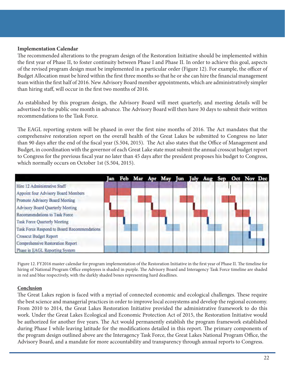## **Implementation Calendar**

The recommended alterations to the program design of the Restoration Initiative should be implemented within the first year of Phase II, to foster continuity between Phase I and Phase II. In order to achieve this goal, aspects of the revised program design must be implemented in a particular order (Figure 12). For example, the officer of Budget Allocation must be hired within the first three months so that he or she can hire the financial management team within the first half of 2016. New Advisory Board member appointments, which are administratively simpler than hiring staff, will occur in the first two months of 2016.

As established by this program design, the Advisory Board will meet quarterly, and meeting details will be advertised to the public one month in advance. The Advisory Board will then have 30 days to submit their written recommendations to the Task Force.

The EAGL reporting system will be phased in over the first nine months of 2016. The Act mandates that the comprehensive restoration report on the overall health of the Great Lakes be submitted to Congress no later than 90 days after the end of the fiscal year (S.504, 2015). The Act also states that the Office of Management and Budget, in coordination with the governor of each Great Lake state must submit the annual crosscut budget report to Congress for the previous fiscal year no later than 45 days after the president proposes his budget to Congress, which normally occurs on October 1st (S.504, 2015).



Figure 12. FY2016 master calendar for program implementation of the Restoration Initiative in the first year of Phase II. The timeline for hiring of National Program Office employees is shaded in purple. The Advisory Board and Interagency Task Force timeline are shaded in red and blue respectively, with the darkly shaded boxes representing hard deadlines.

#### **Conclusion**

The Great Lakes region is faced with a myriad of connected economic and ecological challenges. These require the best science and managerial practices in order to improve local ecosystems and develop the regional economy. From 2010 to 2014, the Great Lakes Restoration Initiative provided the administrative framework to do this work. Under the Great Lakes Ecological and Economic Protection Act of 2015, the Restoration Initiative would be authorized for another five years. The Act would permanently establish the program framework established during Phase I while leaving latitude for the modifications detailed in this report. The primary components of the program design outlined above are the Interagency Task Force, the Great Lakes National Program Office, the Advisory Board, and a mandate for more accountability and transparency through annual reports to Congress.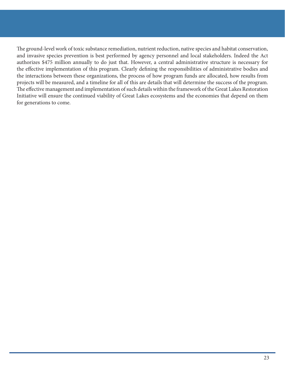The ground-level work of toxic substance remediation, nutrient reduction, native species and habitat conservation, and invasive species prevention is best performed by agency personnel and local stakeholders. Indeed the Act authorizes \$475 million annually to do just that. However, a central administrative structure is necessary for the effective implementation of this program. Clearly defining the responsibilities of administrative bodies and the interactions between these organizations, the process of how program funds are allocated, how results from projects will be measured, and a timeline for all of this are details that will determine the success of the program. The effective management and implementation of such details within the framework of the Great Lakes Restoration Initiative will ensure the continued viability of Great Lakes ecosystems and the economies that depend on them for generations to come.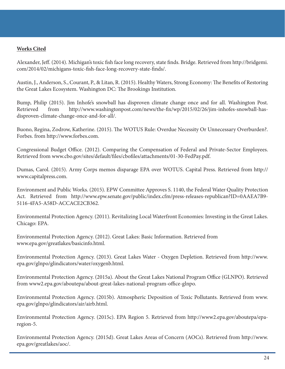# **Works Cited**

Alexander, Jeff. (2014). Michigan's toxic fish face long recovery, state finds. Bridge. Retrieved from http://bridgemi. com/2014/02/michigans-toxic-fish-face-long-recovery-state-finds/.

Austin, J., Anderson, S., Courant, P., & Litan, R. (2015). Healthy Waters, Strong Economy: The Benefits of Restoring the Great Lakes Ecosystem. Washington DC: The Brookings Institution.

Bump, Philip (2015). Jim Inhofe's snowball has disproven climate change once and for all. Washington Post. Retrieved from http://www.washingtonpost.com/news/the-fix/wp/2015/02/26/jim-inhofes-snowball-hasdisproven-climate-change-once-and-for-all/.

Buono, Regina, Zodrow, Katherine. (2015). The WOTUS Rule: Overdue Necessity Or Unnecessary Overburden?. Forbes. from http://www.forbes.com.

Congressional Budget Office. (2012). Comparing the Compensation of Federal and Private-Sector Employees. Retrieved from www.cbo.gov/sites/default/files/cbofiles/attachments/01-30-FedPay.pdf.

Dumas, Carol. (2015). Army Corps memos disparage EPA over WOTUS. Capital Press. Retrieved from http:// www.capitalpress.com.

Environment and Public Works. (2015). EPW Committee Approves S. 1140, the Federal Water Quality Protection Act. Retrieved from http://www.epw.senate.gov/public/index.cfm/press-releases-republican?ID=0AAEA7B9- 5116-4FA5-A58D-ACCACE2CB362.

Environmental Protection Agency. (2011). Revitalizing Local Waterfront Economies: Investing in the Great Lakes. Chicago: EPA.

Environmental Protection Agency. (2012). Great Lakes: Basic Information. Retrieved from www.epa.gov/greatlakes/basicinfo.html.

Environmental Protection Agency. (2013). Great Lakes Water - Oxygen Depletion. Retrieved from http://www. epa.gov/glnpo/glindicators/water/oxygenb.html.

Environmental Protection Agency. (2015a). About the Great Lakes National Program Office (GLNPO). Retrieved from www2.epa.gov/aboutepa/about-great-lakes-national-program-office-glnpo.

Environmental Protection Agency. (2015b). Atmospheric Deposition of Toxic Pollutants. Retrieved from www. epa.gov/glnpo/glindicators/air/airb.html.

Environmental Protection Agency. (2015c). EPA Region 5. Retrieved from http://www2.epa.gov/aboutepa/eparegion-5.

Environmental Protection Agency. (2015d). Great Lakes Areas of Concern (AOCs). Retrieved from http://www. epa.gov/greatlakes/aoc/.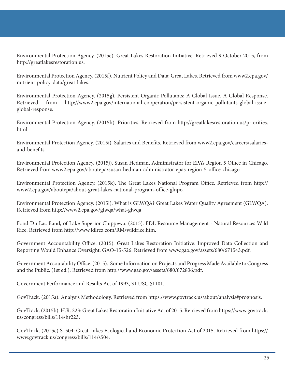Environmental Protection Agency. (2015e). Great Lakes Restoration Initiative. Retrieved 9 October 2015, from http://greatlakesrestoration.us.

Environmental Protection Agency. (2015f). Nutrient Policy and Data: Great Lakes. Retrieved from www2.epa.gov/ nutrient-policy-data/great-lakes.

Environmental Protection Agency. (2015g). Persistent Organic Pollutants: A Global Issue, A Global Response. Retrieved from http://www2.epa.gov/international-cooperation/persistent-organic-pollutants-global-issueglobal-response.

Environmental Protection Agency. (2015h). Priorities. Retrieved from http://greatlakesrestoration.us/priorities. html.

Environmental Protection Agency. (2015i). Salaries and Benefits. Retrieved from www2.epa.gov/careers/salariesand-benefits.

Environmental Protection Agency. (2015j). Susan Hedman, Administrator for EPA's Region 5 Office in Chicago. Retrieved from www2.epa.gov/aboutepa/susan-hedman-administrator-epas-region-5-office-chicago.

Environmental Protection Agency. (2015k). The Great Lakes National Program Office. Retrieved from http:// www2.epa.gov/aboutepa/about-great-lakes-national-program-office-glnpo.

Environmental Protection Agency. (2015l). What is GLWQA? Great Lakes Water Quality Agreement (GLWQA). Retrieved from http://www2.epa.gov/glwqa/what-glwqa

Fond Du Lac Band, of Lake Superior Chippewa. (2015). FDL Resource Management - Natural Resources Wild Rice. Retrieved from http://www.fdlrez.com/RM/wildrice.htm.

Government Accountability Office. (2015). Great Lakes Restoration Initiative: Improved Data Collection and Reporting Would Enhance Oversight. GAO-15-526. Retrieved from www.gao.gov/assets/680/671543.pdf.

Government Accoutability Office. (2015). Some Information on Projects and Progress Made Available to Congress and the Public. (1st ed.). Retrieved from http://www.gao.gov/assets/680/672836.pdf.

Government Performance and Results Act of 1993, 31 USC §1101.

GovTrack. (2015a). Analysis Methodology. Retrieved from https://www.govtrack.us/about/analysis#prognosis.

GovTrack. (2015b). H.R. 223: Great Lakes Restoration Initiative Act of 2015. Retrieved from https://www.govtrack. us/congress/bills/114/hr223.

GovTrack. (2015c) S. 504: Great Lakes Ecological and Economic Protection Act of 2015. Retrieved from https:// www.govtrack.us/congress/bills/114/s504.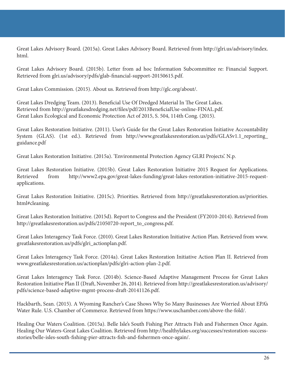Great Lakes Advisory Board. (2015a). Great Lakes Advisory Board. Retrieved from http://glri.us/advisory/index. html.

Great Lakes Advisory Board. (2015b). Letter from ad hoc Information Subcommittee re: Financial Support. Retrieved from glri.us/advisory/pdfs/glab-financial-support-20150615.pdf.

Great Lakes Commission. (2015). About us. Retrieved from http://glc.org/about/.

Great Lakes Dredging Team. (2013). Beneficial Use Of Dredged Material In The Great Lakes. Retrieved from http://greatlakesdredging.net/files/pdf/2013BeneficialUse-online-FINAL.pdf. Great Lakes Ecological and Economic Protection Act of 2015, S. 504, 114th Cong. (2015).

Great Lakes Restoration Initiative. (2011). User's Guide for the Great Lakes Restoration Initiative Accountability System (GLAS). (1st ed.). Retrieved from http://www.greatlakesrestoration.us/pdfs/GLASv1.1\_reporting\_ guidance.pdf

Great Lakes Restoration Initiative. (2015a). 'Environmental Protection Agency GLRI Projects'. N.p.

Great Lakes Restoration Initiative. (2015b). Great Lakes Restoration Initiative 2015 Request for Applications. Retrieved from http://www2.epa.gov/great-lakes-funding/great-lakes-restoration-initiative-2015-requestapplications.

Great Lakes Restoration Initiative. (2015c). Priorities. Retrieved from http://greatlakesrestoration.us/priorities. html#cleaning.

Great Lakes Restoration Initiative. (2015d). Report to Congress and the President (FY2010-2014). Retrieved from http://greatlakesrestoration.us/pdfs/21050720-report\_to\_congress.pdf.

Great Lakes Interagency Task Force. (2010). Great Lakes Restoration Initiative Action Plan. Retrieved from www. greatlakesrestoration.us/pdfs/glri\_actionplan.pdf.

Great Lakes Interagency Task Force. (2014a). Great Lakes Restoration Initiative Action Plan II. Retrieved from www.greatlakesrestoration.us/actionplan/pdfs/glri-action-plan-2.pdf.

Great Lakes Interagency Task Force. (2014b). Science-Based Adaptive Management Process for Great Lakes Restoration Initiative Plan II (Draft, November 26, 2014). Retrieved from http://greatlakesrestoration.us/advisory/ pdfs/science-based-adaptive-mgmt-process-draft-20141126.pdf.

Hackbarth, Sean. (2015). A Wyoming Rancher's Case Shows Why So Many Businesses Are Worried About EPA's Water Rule. U.S. Chamber of Commerce. Retrieved from https://www.uschamber.com/above-the-fold/.

Healing Our Waters Coalition. (2015a). Belle Isle's South Fishing Pier Attracts Fish and Fishermen Once Again. Healing Our Waters-Great Lakes Coalition. Retrieved from http://healthylakes.org/successes/restoration-successstories/belle-isles-south-fishing-pier-attracts-fish-and-fishermen-once-again/.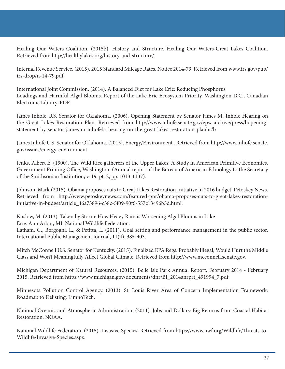Healing Our Waters Coalition. (2015b). History and Structure. Healing Our Waters-Great Lakes Coalition. Retrieved from http://healthylakes.org/history-and-structure/.

Internal Revenue Service. (2015). 2015 Standard Mileage Rates. Notice 2014-79. Retrieved from www.irs.gov/pub/ irs-drop/n-14-79.pdf.

International Joint Commission. (2014). A Balanced Diet for Lake Erie: Reducing Phosphorus Loadings and Harmful Algal Blooms. Report of the Lake Erie Ecosystem Priority. Washington D.C., Canadian Electronic Library. PDF.

James Inhofe U.S. Senator for Oklahoma. (2006). Opening Statement by Senator James M. Inhofe Hearing on the Great Lakes Restoration Plan. Retrieved from http://www.inhofe.senate.gov/epw-archive/press/bopeningstatement-by-senator-james-m-inhofebr-hearing-on-the-great-lakes-restoration-planbr/b

James Inhofe U.S. Senator for Oklahoma. (2015). Energy/Environment . Retrieved from http://www.inhofe.senate. gov/issues/energy-environment.

Jenks, Albert E. (1900). The Wild Rice gatherers of the Upper Lakes: A Study in American Primitive Economics. Government Printing Office, Washington. (Annual report of the Bureau of American Ethnology to the Secretary of the Smithsonian Institution; v. 19, pt. 2, pp. 1013-1137).

Johnson, Mark (2015). Obama proposes cuts to Great Lakes Restoration Initiative in 2016 budget. Petoskey News. Retrieved from http://www.petoskeynews.com/featured-pnr/obama-proposes-cuts-to-great-lakes-restorationinitiative-in-budget/article\_46a73896-c38c-5f09-90f6-557c13496b5d.html.

Koslow, M. (2013). Taken by Storm: How Heavy Rain is Worsening Algal Blooms in Lake

Erie. Ann Arbor, MI: National Wildlife Federation.

Latham, G., Borgogni, L., & Petitta, L. (2011). Goal setting and performance management in the public sector. International Public Management Journal, 11(4), 385-403.

Mitch McConnell U.S. Senator for Kentucky. (2015). Finalized EPA Regs: Probably Illegal, Would Hurt the Middle Class and Won't Meaningfully Affect Global Climate. Retrieved from http://www.mcconnell.senate.gov.

Michigan Department of Natural Resources. (2015). Belle Isle Park Annual Report. February 2014 - February 2015. Retrieved from https://www.michigan.gov/documents/dnr/BI\_2014anrprt\_491994\_7.pdf.

Minnesota Pollution Control Agency. (2013). St. Louis River Area of Concern Implementation Framework: Roadmap to Delisting. LimnoTech.

National Oceanic and Atmospheric Administration. (2011). Jobs and Dollars: Big Returns from Coastal Habitat Restoration. NOAA.

National Wildlife Federation. (2015). Invasive Species. Retrieved from https://www.nwf.org/Wildlife/Threats-to-Wildlife/Invasive-Species.aspx.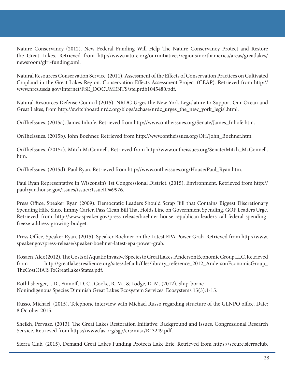Nature Conservancy (2012). New Federal Funding Will Help The Nature Conservancy Protect and Restore the Great Lakes. Retrieved from http://www.nature.org/ourinitiatives/regions/northamerica/areas/greatlakes/ newsroom/glri-funding.xml.

Natural Resources Conservation Service. (2011). Assessment of the Effects of Conservation Practices on Cultivated Cropland in the Great Lakes Region. Conservation Effects Assessment Project (CEAP). Retrieved from http:// www.nrcs.usda.gov/Internet/FSE\_DOCUMENTS/stelprdb1045480.pdf.

Natural Resources Defense Council (2015). NRDC Urges the New York Legislature to Support Our Ocean and Great Lakes, from http://switchboard.nrdc.org/blogs/achase/nrdc\_urges\_the\_new\_york\_legisl.html.

OnTheIssues. (2015a). James Inhofe. Retrieved from http://www.ontheissues.org/Senate/James\_Inhofe.htm.

OnTheIssues. (2015b). John Boehner. Retrieved from http://www.ontheissues.org/OH/John\_Boehner.htm.

OnTheIssues. (2015c). Mitch McConnell. Retrieved from http://www.ontheissues.org/Senate/Mitch\_McConnell. htm.

OnTheIssues. (2015d). Paul Ryan. Retrieved from http://www.ontheissues.org/House/Paul\_Ryan.htm.

Paul Ryan Representative in Wisconsin's 1st Congressional District. (2015). Environment. Retrieved from http:// paulryan.house.gov/issues/issue/?IssueID=9976.

Press Office, Speaker Ryan (2009). Democratic Leaders Should Scrap Bill that Contains Biggest Discretionary Spending Hike Since Jimmy Carter, Pass Clean Bill That Holds Line on Government Spending, GOP Leaders Urge. Retrieved from http://www.speaker.gov/press-release/boehner-house-republican-leaders-call-federal-spendingfreeze-address-growing-budget.

Press Office, Speaker Ryan. (2015). Speaker Boehner on the Latest EPA Power Grab. Retrieved from http://www. speaker.gov/press-release/speaker-boehner-latest-epa-power-grab.

Rosaen, Alex (2012). The Costs of Aquatic Invasive Species to Great Lakes. Anderson Economic Group LLC. Retrieved from http://greatlakesresilience.org/sites/default/files/library\_reference\_2012\_AndersonEconomicGroup\_ TheCostOfAISToGreatLakesStates.pdf.

Rothlisberger, J. D., Finnoff, D. C., Cooke, R. M., & Lodge, D. M. (2012). Ship-borne Nonindigenous Species Diminish Great Lakes Ecosystem Services. Ecosystems 15(3):1-15.

Russo, Michael. (2015). Telephone interview with Michael Russo regarding structure of the GLNPO office. Date: 8 October 2015.

Sheikh, Pervaze. (2013). The Great Lakes Restoration Initiative: Background and Issues. Congressional Research Service. Retrieved from https://www.fas.org/sgp/crs/misc/R43249.pdf.

Sierra Club. (2015). Demand Great Lakes Funding Protects Lake Erie. Retrieved from https://secure.sierraclub.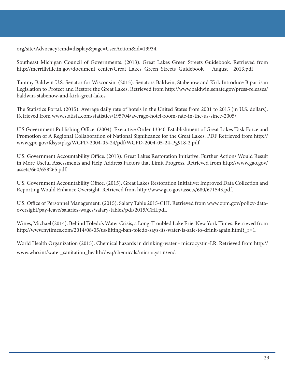org/site/Advocacy?cmd=display&page=UserAction&id=13934.

Southeast Michigan Council of Governments. (2013). Great Lakes Green Streets Guidebook. Retrieved from http://merrillville.in.gov/document\_center/Great\_Lakes\_Green\_Streets\_Guidebook\_\_\_August\_\_2013.pdf

Tammy Baldwin U.S. Senator for Wisconsin. (2015). Senators Baldwin, Stabenow and Kirk Introduce Bipartisan Legislation to Protect and Restore the Great Lakes. Retrieved from http://www.baldwin.senate.gov/press-releases/ baldwin-stabenow-and-kirk-great-lakes.

The Statistics Portal. (2015). Average daily rate of hotels in the United States from 2001 to 2015 (in U.S. dollars). Retrieved from www.statista.com/statistics/195704/average-hotel-room-rate-in-the-us-since-2005/.

U.S Government Publishing Office. (2004). Executive Order 13340-Establishment of Great Lakes Task Force and Promotion of A Regional Collaboration of National Significance for the Great Lakes. PDF Retrieved from http:// www.gpo.gov/fdsys/pkg/WCPD-2004-05-24/pdf/WCPD-2004-05-24-Pg918-2.pdf.

U.S. Government Accountability Office. (2013). Great Lakes Restoration Initiative: Further Actions Would Result in More Useful Assessments and Help Address Factors that Limit Progress. Retrieved from http://www.gao.gov/ assets/660/658265.pdf.

U.S. Government Accountability Office. (2015). Great Lakes Restoration Initiative: Improved Data Collection and Reporting Would Enhance Oversight. Retrieved from http://www.gao.gov/assets/680/671543.pdf.

U.S. Office of Personnel Management. (2015). Salary Table 2015-CHI. Retrieved from www.opm.gov/policy-dataoversight/pay-leave/salaries-wages/salary-tables/pdf/2015/CHI.pdf.

Wines, Michael (2014). Behind Toledo's Water Crisis, a Long-Troubled Lake Erie. New York Times. Retrieved from http://www.nytimes.com/2014/08/05/us/lifting-ban-toledo-says-its-water-is-safe-to-drink-again.html?\_r=1.

World Health Organization (2015). Chemical hazards in drinking-water - microcystin-LR. Retrieved from http:// www.who.int/water\_sanitation\_health/dwq/chemicals/microcystin/en/.